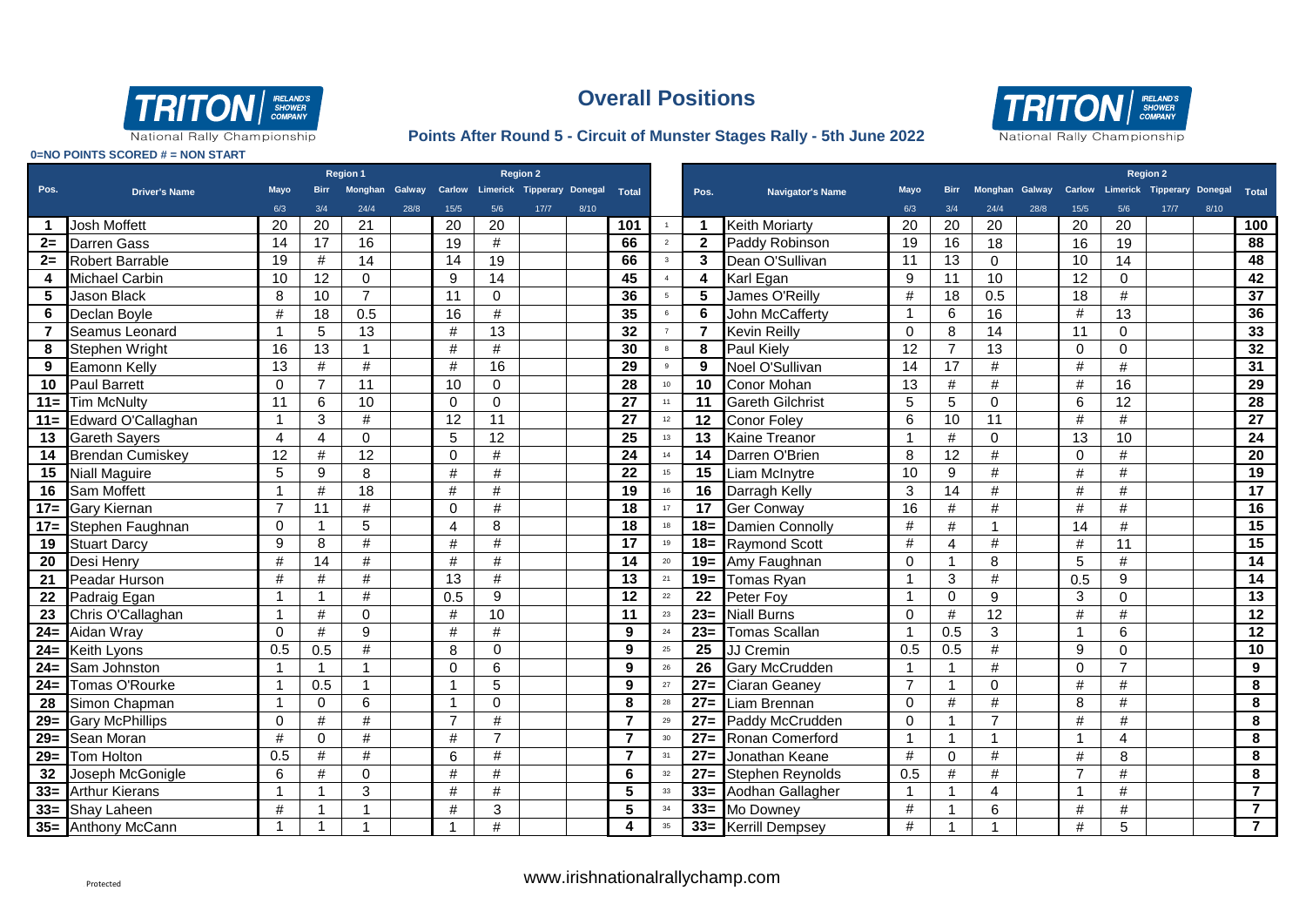



National Rally Championship

### **Points After Round 5 - Circuit of Munster Stages Rally - 5th June 2022**

|                |                         | Region 1       |                |                |      | <b>Region 2</b> |                |                                                        |      |                 |                         |                         |                         |             |                |                |      |                |                         | <b>Region 2</b>                                  |      |                 |
|----------------|-------------------------|----------------|----------------|----------------|------|-----------------|----------------|--------------------------------------------------------|------|-----------------|-------------------------|-------------------------|-------------------------|-------------|----------------|----------------|------|----------------|-------------------------|--------------------------------------------------|------|-----------------|
| Pos.           | <b>Driver's Name</b>    | <b>Mavo</b>    |                |                |      |                 |                | Monghan Galway Carlow Limerick Tipperary Donegal Total |      |                 |                         | Pos.                    | Navigator's Name        | <b>Mayo</b> | <b>Birr</b>    |                |      |                |                         | Monghan Galway Carlow Limerick Tipperary Donegal |      | <b>Total</b>    |
|                |                         | 6/3            | 3/4            | 24/4           | 28/8 | 15/5            | 5/6            | 17/7                                                   | 8/10 |                 |                         |                         |                         | 6/3         | 3/4            | 24/4           | 28/8 | 15/5           | 5/6                     | 17/7                                             | 8/10 |                 |
|                | <b>Josh Moffett</b>     | 20             | 20             | 21             |      | 20              | 20             |                                                        |      | 101             | 1                       | $\overline{\mathbf{1}}$ | <b>Keith Moriarty</b>   | 20          | 20             | 20             |      | 20             | 20                      |                                                  |      | 100             |
| $2 =$          | Darren Gass             | 14             | 17             | 16             |      | 19              | $\#$           |                                                        |      | 66              | $\overline{2}$          | $\overline{2}$          | Paddy Robinson          | 19          | 16             | 18             |      | 16             | 19                      |                                                  |      | 88              |
|                | 2= Robert Barrable      | 19             | #              | 14             |      | 14              | 19             |                                                        |      | 66              | $\overline{\mathbf{3}}$ | $\mathbf{3}$            | Dean O'Sullivan         | 11          | 13             | 0              |      | 10             | 14                      |                                                  |      | 48              |
| 4              | Michael Carbin          | 10             | 12             | $\mathbf 0$    |      | 9               | 14             |                                                        |      | 45              | $\overline{4}$          | $\overline{\mathbf{4}}$ | Karl Egan               | 9           | 11             | 10             |      | 12             | $\mathbf 0$             |                                                  |      | 42              |
| 5              | <b>Jason Black</b>      | 8              | 10             | $\overline{7}$ |      | 11              | $\mathbf 0$    |                                                        |      | 36              | $5\overline{5}$         | $\overline{\mathbf{5}}$ | James O'Reilly          | #           | 18             | 0.5            |      | 18             | #                       |                                                  |      | $\overline{37}$ |
| 6              | Declan Boyle            | #              | 18             | 0.5            |      | 16              | $\#$           |                                                        |      | 35              | 6                       | 6                       | John McCafferty         |             | 6              | 16             |      | #              | 13                      |                                                  |      | 36              |
| $\overline{7}$ | Seamus Leonard          | $\overline{1}$ | 5              | 13             |      | #               | 13             |                                                        |      | 32              | 7                       | $\overline{7}$          | <b>Kevin Reilly</b>     | $\Omega$    | 8              | 14             |      | 11             | $\mathbf 0$             |                                                  |      | 33              |
| 8              | Stephen Wright          | 16             | 13             | $\mathbf{1}$   |      | #               | #              |                                                        |      | 30              | 8                       | 8                       | <b>Paul Kiely</b>       | 12          | $\overline{7}$ | 13             |      | $\Omega$       | $\Omega$                |                                                  |      | 32              |
| 9              | Eamonn Kelly            | 13             | #              | #              |      | #               | 16             |                                                        |      | 29              | 9                       | 9                       | Noel O'Sullivan         | 14          | 17             | #              |      | #              | #                       |                                                  |      | 31              |
| 10             | <b>Paul Barrett</b>     | $\mathbf{0}$   | $\overline{7}$ | 11             |      | 10              | $\mathbf 0$    |                                                        |      | 28              | 10                      | 10                      | <b>Conor Mohan</b>      | 13          | #              | #              |      | #              | 16                      |                                                  |      | 29              |
| $11 =$         | <b>Tim McNulty</b>      | 11             | 6              | 10             |      | $\Omega$        | $\mathbf 0$    |                                                        |      | 27              | 11                      | 11                      | <b>Gareth Gilchrist</b> | 5           | 5              | 0              |      | 6              | 12                      |                                                  |      | 28              |
| $11 =$         | Edward O'Callaghan      | $\mathbf 1$    | 3              | #              |      | 12              | 11             |                                                        |      | $\overline{27}$ | 12                      | 12                      | Conor Foley             | 6           | 10             | 11             |      | #              | #                       |                                                  |      | $\overline{27}$ |
| 13             | <b>Gareth Sayers</b>    | $\overline{4}$ | $\overline{4}$ | $\mathbf 0$    |      | 5               | 12             |                                                        |      | $\overline{25}$ | 13                      | 13                      | Kaine Treanor           | 1           | #              | 0              |      | 13             | 10                      |                                                  |      | 24              |
| 14             | <b>Brendan Cumiskey</b> | 12             | #              | 12             |      | $\Omega$        | $\#$           |                                                        |      | $\overline{24}$ | 14                      | 14                      | Darren O'Brien          | 8           | 12             | $\#$           |      | $\Omega$       | $\#$                    |                                                  |      | 20              |
| 15             | <b>Niall Maguire</b>    | 5              | 9              | 8              |      | $\#$            | $\#$           |                                                        |      | 22              | 15                      | 15                      | Liam McInytre           | 10          | 9              | $\#$           |      | #              | $\#$                    |                                                  |      | 19              |
| 16             | Sam Moffett             | $\mathbf{1}$   | $\#$           | 18             |      | #               | $\#$           |                                                        |      | 19              | 16                      | 16                      | Darragh Kelly           | 3           | 14             | #              |      | #              | #                       |                                                  |      | $\overline{17}$ |
| $17 =$         | <b>Gary Kiernan</b>     | $\overline{7}$ | 11             | #              |      | $\Omega$        | $\#$           |                                                        |      | 18              | 17                      | $\overline{17}$         | <b>Ger Conway</b>       | 16          | #              | #              |      | #              | #                       |                                                  |      | 16              |
| $17 =$         | Stephen Faughnan        | $\mathbf 0$    |                | 5              |      | $\overline{4}$  | 8              |                                                        |      | 18              | 18                      | $18 =$                  | Damien Connolly         | #           | #              |                |      | 14             | #                       |                                                  |      | 15              |
| 19             | <b>Stuart Darcy</b>     | 9              | 8              | $\#$           |      | $\#$            | #              |                                                        |      | 17              | 19                      | $18 =$                  | <b>Raymond Scott</b>    | #           | 4              | $\#$           |      | $\#$           | 11                      |                                                  |      | $\overline{15}$ |
| 20             | Desi Henry              | #              | 14             | $\#$           |      | #               | $\#$           |                                                        |      | 14              | 20                      | $19=$                   | Amy Faughnan            | $\Omega$    | -1             | 8              |      | 5              | #                       |                                                  |      | $\overline{14}$ |
| 21             | Peadar Hurson           | #              | #              | #              |      | 13              | #              |                                                        |      | 13              | 21                      | $19 =$                  | Tomas Ryan              |             | 3              | #              |      | 0.5            | 9                       |                                                  |      | 14              |
| 22             | Padraig Egan            | $\mathbf{1}$   | -1             | $\#$           |      | 0.5             | 9              |                                                        |      | 12              | 22                      | $\overline{22}$         | Peter Foy               | -1          | $\mathbf 0$    | 9              |      | 3              | $\Omega$                |                                                  |      | 13              |
| 23             | Chris O'Callaghan       | 1              | #              | $\Omega$       |      | #               | 10             |                                                        |      | 11              | 23                      | $23=$                   | <b>Niall Burns</b>      | 0           | #              | 12             |      | #              | #                       |                                                  |      | 12              |
| $24=$          | Aidan Wray              | $\Omega$       | #              | 9              |      | #               | $\#$           |                                                        |      | 9               | 24                      | $23=$                   | <b>Tomas Scallan</b>    |             | 0.5            | 3              |      | 1              | 6                       |                                                  |      | 12              |
| $24=$          | Keith Lyons             | 0.5            | 0.5            | #              |      | 8               | 0              |                                                        |      | 9               | 25                      | 25                      | JJ Cremin               | 0.5         | 0.5            | #              |      | 9              | $\Omega$                |                                                  |      | 10              |
| $24=$          | Sam Johnston            | $\mathbf 1$    | $\overline{1}$ | $\mathbf{1}$   |      | $\Omega$        | $6\phantom{1}$ |                                                        |      | 9               | 26                      | $\overline{26}$         | Gary McCrudden          | 1           | $\mathbf{1}$   | #              |      | $\Omega$       | $\overline{7}$          |                                                  |      | 9               |
| $24 =$         | Tomas O'Rourke          | $\mathbf{1}$   | 0.5            | $\mathbf{1}$   |      | -1              | 5              |                                                        |      | 9               | 27                      | $\overline{27}$         | Ciaran Geaney           |             | $\mathbf{1}$   | $\Omega$       |      | #              | #                       |                                                  |      | 8               |
| 28             | Simon Chapman           | 1              | $\mathbf 0$    | 6              |      | -1              | $\mathbf 0$    |                                                        |      | 8               | 28                      | $27=$                   | Liam Brennan            | 0           | #              | #              |      | 8              | #                       |                                                  |      | 8               |
| $29 =$         | <b>Gary McPhillips</b>  | $\mathbf 0$    | $\#$           | $\#$           |      | $\overline{7}$  | $\#$           |                                                        |      | $\overline{7}$  | 29                      | $27=$                   | Paddy McCrudden         | $\Omega$    | $\overline{1}$ | $\overline{7}$ |      | #              | #                       |                                                  |      | 8               |
|                | 29= Sean Moran          | #              | $\Omega$       | #              |      | #               | $\overline{7}$ |                                                        |      | $\overline{7}$  | 30                      | $\overline{27}$         | Ronan Comerford         |             | $\mathbf{1}$   |                |      | 1              | $\overline{\mathbf{4}}$ |                                                  |      | 8               |
|                | 29= Tom Holton          | 0.5            | $\#$           | $\#$           |      | 6               | $\#$           |                                                        |      | $\overline{7}$  | 31                      | $\overline{27}$         | Jonathan Keane          | #           | $\Omega$       | $\#$           |      | #              | 8                       |                                                  |      | 8               |
| 32             | Joseph McGonigle        | 6              | #              | 0              |      | #               | $\#$           |                                                        |      | 6               | 32                      | $27=$                   | Stephen Reynolds        | 0.5         | $\#$           | $\#$           |      | $\overline{7}$ | $\#$                    |                                                  |      | 8               |
| $33=$          | <b>Arthur Kierans</b>   | $\mathbf{1}$   |                | 3              |      | #               | $\#$           |                                                        |      | 5               | 33                      | $33=$                   | Aodhan Gallagher        |             |                | $\overline{4}$ |      | $\overline{1}$ | #                       |                                                  |      | $\overline{7}$  |
|                | 33= Shay Laheen         | $\#$           |                | 1              |      | #               | 3              |                                                        |      | 5               | 34                      | $33=$                   | Mo Downey               | #           | -1             | 6              |      | #              | $\#$                    |                                                  |      | $\overline{7}$  |
|                | 35= Anthony McCann      | $\mathbf{1}$   | -1             | $\mathbf{1}$   |      |                 | #              |                                                        |      | 4               | 35                      | $33=$                   | <b>Kerrill Dempsey</b>  | #           |                |                |      | #              | 5                       |                                                  |      | $\overline{7}$  |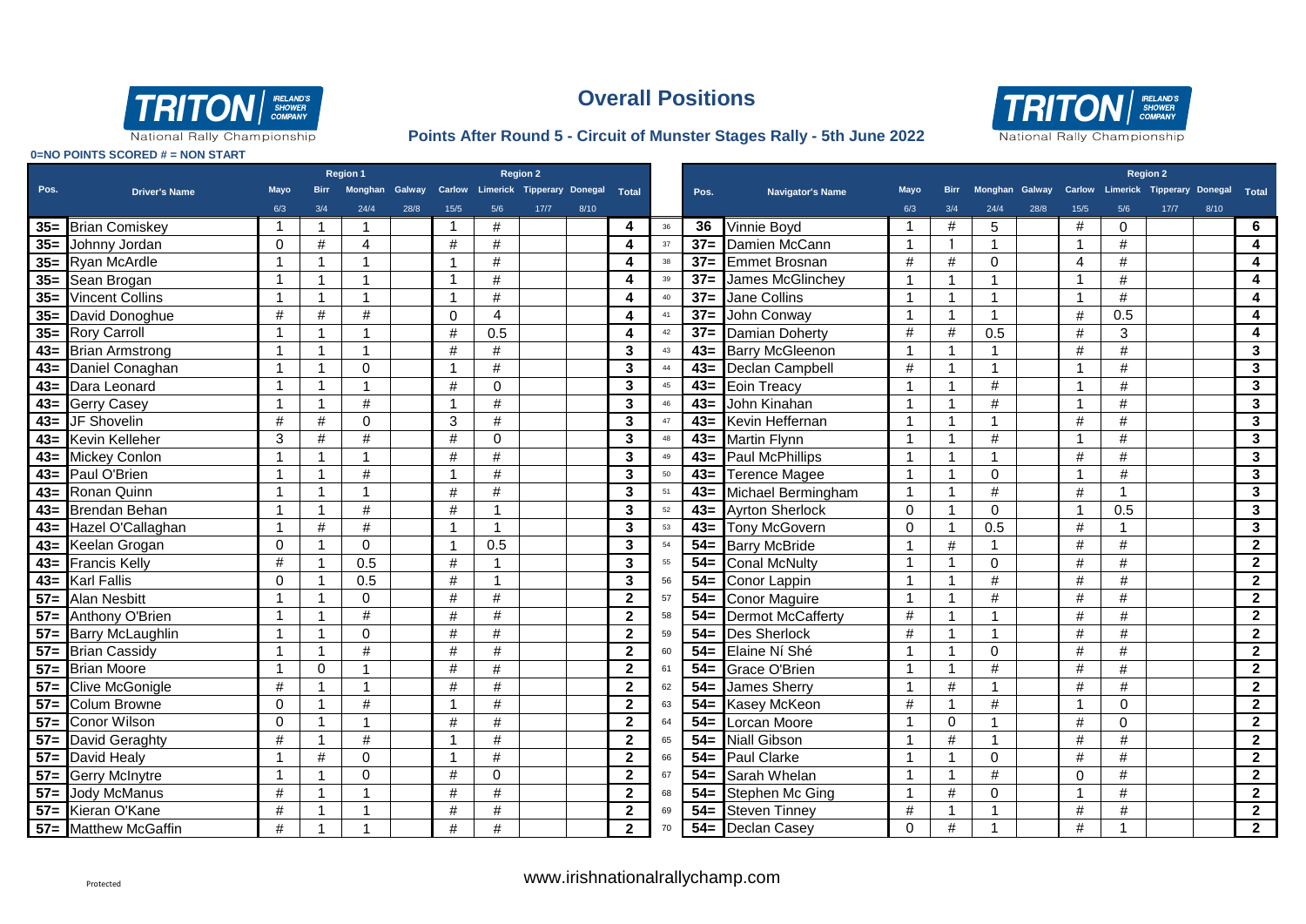



National Rally Championship

### **Points After Round 5 - Circuit of Munster Stages Rally - 5th June 2022**

|          |                      | Region 1     |                         |                |      |                         |                | <b>Region 2</b>                                        |      |                |    |        |                          |             |                |             |      |                |              | <b>Region 2</b>                                  |      |                |
|----------|----------------------|--------------|-------------------------|----------------|------|-------------------------|----------------|--------------------------------------------------------|------|----------------|----|--------|--------------------------|-------------|----------------|-------------|------|----------------|--------------|--------------------------------------------------|------|----------------|
| Pos.     | <b>Driver's Name</b> | Mayo         | <b>Birr</b>             |                |      |                         |                | Monghan Galway Carlow Limerick Tipperary Donegal Total |      |                |    | Pos.   | <b>Navigator's Name</b>  | <b>Mayo</b> | <b>Birr</b>    |             |      |                |              | Monghan Galway Carlow Limerick Tipperary Donegal |      | Total          |
|          |                      | 6/3          | 3/4                     | 24/4           | 28/8 | 15/5                    | 5/6            | 17/7                                                   | 8/10 |                |    |        |                          | 6/3         | 3/4            | 24/4        | 28/8 | 15/5           | 5/6          | 17/7                                             | 8/10 |                |
|          | 35= Brian Comiskey   | 1            | $\mathbf{1}$            | $\overline{1}$ |      | -1                      | #              |                                                        |      | 4              | 36 | 36     | Vinnie Boyd              |             | #              | 5           |      | #              | $\mathbf{0}$ |                                                  |      | 6              |
|          | 35= Johnny Jordan    | $\Omega$     | #                       | $\overline{4}$ |      | #                       | $\#$           |                                                        |      | 4              | 37 | $37 =$ | Damien McCann            | 1           |                |             |      | $\overline{1}$ | #            |                                                  |      | 4              |
|          | 35= Ryan McArdle     |              | 1                       | $\overline{1}$ |      |                         | $\#$           |                                                        |      | 4              | 38 | $37 =$ | <b>Emmet Brosnan</b>     | $\#$        | #              | $\Omega$    |      | $\overline{4}$ | $\#$         |                                                  |      | 4              |
|          | 35 Sean Brogan       | -1           | -1                      | $\overline{1}$ |      | $\overline{\mathbf{1}}$ | $\#$           |                                                        |      | 4              | 39 | $37 =$ | James McGlinchey         |             | 1              |             |      | 1              | $\#$         |                                                  |      | 4              |
|          | 35= Vincent Collins  |              | $\overline{\mathbf{1}}$ | $\overline{1}$ |      | $\overline{\mathbf{1}}$ | $\#$           |                                                        |      | 4              | 40 | $37 =$ | Jane Collins             |             | $\mathbf{1}$   |             |      | $\overline{ }$ | $\#$         |                                                  |      | 4              |
|          | 35= David Donoghue   | #            | #                       | #              |      | $\Omega$                | $\overline{4}$ |                                                        |      | 4              | 41 | $37 =$ | John Conway              | 1           | $\mathbf{1}$   |             |      | #              | 0.5          |                                                  |      | 4              |
|          | 35= Rory Carroll     | -1           | 1                       | $\mathbf{1}$   |      | #                       | 0.5            |                                                        |      | 4              | 42 | $37=$  | <b>Damian Doherty</b>    | #           | #              | 0.5         |      | $\#$           | 3            |                                                  |      | 4              |
|          | 43= Brian Armstrong  | 1            | -1                      | $\overline{1}$ |      | #                       | #              |                                                        |      | 3              | 43 | $43=$  | <b>Barry McGleenon</b>   | -1          | 1              |             |      | #              | #            |                                                  |      | $3\phantom{a}$ |
|          | 43= Daniel Conaghan  | 1            | -1                      | $\Omega$       |      | -1                      | $\#$           |                                                        |      | 3              | 44 | $43=$  | Declan Campbell          | #           | $\mathbf 1$    |             |      | -1             | #            |                                                  |      | $3\phantom{a}$ |
|          | 43= Dara Leonard     | 1            | $\mathbf{1}$            | $\mathbf{1}$   |      | #                       | $\mathbf 0$    |                                                        |      | $\mathbf{3}$   | 45 | $43=$  | <b>Eoin Treacy</b>       |             | 1              | #           |      | $\overline{1}$ | #            |                                                  |      | $3\phantom{a}$ |
|          | 43= Gerry Casey      | 1            | $\overline{1}$          | #              |      | -1                      | #              |                                                        |      | 3              | 46 | $43=$  | John Kinahan             |             | 1              | #           |      | $\overline{1}$ | #            |                                                  |      | $3\phantom{a}$ |
| $43 =$   | JF Shovelin          | $\#$         | #                       | $\mathbf 0$    |      | 3                       | #              |                                                        |      | 3              | 47 | $43=$  | Kevin Heffernan          |             | $\mathbf{1}$   |             |      | #              | #            |                                                  |      | 3              |
| $43=$    | Kevin Kelleher       | 3            | #                       | #              |      | #                       | $\mathbf 0$    |                                                        |      | 3              | 48 | $43=$  | <b>Martin Flynn</b>      |             | 1              | #           |      | $\overline{1}$ | #            |                                                  |      | $\mathbf{3}$   |
| $43=$    | <b>Mickey Conlon</b> |              |                         | $\overline{1}$ |      | #                       | $\#$           |                                                        |      | 3              | 49 | $43=$  | <b>Paul McPhillips</b>   |             | 1              |             |      | #              | #            |                                                  |      | $\mathbf{3}$   |
| $43 =$   | Paul O'Brien         | 1            | 1                       | #              |      | -1                      | #              |                                                        |      | 3              | 50 | $43=$  | <b>Terence Magee</b>     | 1           | $\mathbf{1}$   | $\mathbf 0$ |      | 1              | #            |                                                  |      | $\mathbf{3}$   |
| $43 =$   | Ronan Quinn          | 1            | 1                       | $\overline{1}$ |      | #                       | $\#$           |                                                        |      | 3              | 51 | $43=$  | Michael Bermingham       | 1           | $\mathbf{1}$   | $\#$        |      | #              |              |                                                  |      | $\mathbf{3}$   |
| $43 =$   | <b>Brendan Behan</b> | 1            | 1                       | $\#$           |      | #                       | $\overline{1}$ |                                                        |      | 3              | 52 | $43=$  | <b>Ayrton Sherlock</b>   | $\Omega$    | $\mathbf{1}$   | $\mathbf 0$ |      | $\overline{1}$ | 0.5          |                                                  |      | $\mathbf{3}$   |
| $43=$    | Hazel O'Callaghan    |              | #                       | $\#$           |      | -1                      | $\overline{1}$ |                                                        |      | $\mathbf{3}$   | 53 | $43=$  | <b>Tony McGovern</b>     | $\Omega$    | $\mathbf{1}$   | 0.5         |      | $\#$           |              |                                                  |      | $\mathbf{3}$   |
| $43 =$   | Keelan Grogan        | $\mathbf 0$  |                         | $\Omega$       |      | $\overline{\mathbf{1}}$ | 0.5            |                                                        |      | 3              | 54 | $54=$  | <b>Barry McBride</b>     |             | $\#$           |             |      | #              | $\#$         |                                                  |      | $\overline{2}$ |
|          | 43= Francis Kelly    | $\#$         |                         | 0.5            |      | $\#$                    | -1             |                                                        |      | $\mathbf{3}$   | 55 | $54=$  | <b>Conal McNulty</b>     |             | 1              | $\Omega$    |      | $\#$           | $\#$         |                                                  |      | $\mathbf{2}$   |
| $43 = 1$ | <b>Karl Fallis</b>   | $\mathbf 0$  |                         | 0.5            |      | $\#$                    | $\overline{1}$ |                                                        |      | 3              | 56 | $54=$  | Conor Lappin             |             | $\mathbf{1}$   | $\#$        |      | #              | #            |                                                  |      | $\overline{2}$ |
| $57=$    | <b>Alan Nesbitt</b>  | -1           | 1                       | $\Omega$       |      | #                       | #              |                                                        |      | $\mathbf{2}$   | 57 | $54=$  | <b>Conor Maguire</b>     |             | $\mathbf{1}$   | #           |      | #              | #            |                                                  |      | $\overline{2}$ |
| $57=$    | Anthony O'Brien      | 1            | -1                      | #              |      | #                       | $\#$           |                                                        |      | $\mathbf{2}$   | 58 | $54=$  | <b>Dermot McCafferty</b> | #           | $\overline{1}$ | -1          |      | #              | #            |                                                  |      | $\mathbf{2}$   |
|          | 57= Barry McLaughlin | 1            | -1                      | $\Omega$       |      | #                       | #              |                                                        |      | $\overline{2}$ | 59 | $54=$  | <b>Des Sherlock</b>      | #           | $\mathbf 1$    | -1          |      | #              | $\#$         |                                                  |      | $\mathbf{2}$   |
|          | 57= Brian Cassidy    | $\mathbf{1}$ | -1                      | $\#$           |      | #                       | $\#$           |                                                        |      | $\overline{2}$ | 60 | $54=$  | Elaine Ní Shé            |             | $\mathbf{1}$   | $\Omega$    |      | #              | #            |                                                  |      | $\mathbf{2}$   |
|          | 57 Brian Moore       |              | $\Omega$                | $\overline{1}$ |      | #                       | $\#$           |                                                        |      | $\mathbf{2}$   | 61 | $54=$  | Grace O'Brien            |             | $\mathbf 1$    | #           |      | #              | #            |                                                  |      | $\mathbf{2}$   |
|          | 57= Clive McGonigle  | $\#$         |                         | $\overline{1}$ |      | #                       | $\#$           |                                                        |      | $\mathbf{2}$   | 62 | $54=$  | <b>James Sherry</b>      |             | $\#$           |             |      | $\#$           | #            |                                                  |      | $\mathbf{2}$   |
|          | 57= Colum Browne     | $\Omega$     | 1                       | #              |      | -1                      | $\#$           |                                                        |      | $\overline{2}$ | 63 | $54=$  | Kasey McKeon             | #           | $\mathbf{1}$   | #           |      | 1              | $\Omega$     |                                                  |      | $\mathbf{2}$   |
|          | 57= Conor Wilson     | $\Omega$     | -1                      | -1             |      | #                       | #              |                                                        |      | $\overline{2}$ | 64 | $54=$  | Lorcan Moore             |             | $\Omega$       |             |      | #              | $\Omega$     |                                                  |      | $\overline{2}$ |
|          | 57 David Geraghty    | #            | -1                      | #              |      | -1                      | #              |                                                        |      | $\mathbf{2}$   | 65 | $54=$  | <b>Niall Gibson</b>      |             | #              | -1          |      | #              | #            |                                                  |      | $\mathbf{2}$   |
|          | 57= David Healy      |              | #                       | $\Omega$       |      | -1                      | $\#$           |                                                        |      | $\mathbf{2}$   | 66 | $54=$  | <b>Paul Clarke</b>       |             | $\mathbf{1}$   | $\Omega$    |      | $\#$           | #            |                                                  |      | $\overline{2}$ |
|          | 57= Gerry McInytre   |              |                         | $\Omega$       |      | #                       | $\mathbf 0$    |                                                        |      | $\mathbf{2}$   | 67 | $54=$  | Sarah Whelan             |             | $\mathbf{1}$   | #           |      | $\Omega$       | $\#$         |                                                  |      | $\mathbf{2}$   |
|          | 57= Jody McManus     | #            | -1                      | $\overline{1}$ |      | #                       | $\#$           |                                                        |      | $\mathbf{2}$   | 68 | $54=$  | Stephen Mc Ging          | 1           | #              | 0           |      | 1              | $\#$         |                                                  |      | $\overline{2}$ |
|          | 57= Kieran O'Kane    | #            |                         | $\overline{1}$ |      | #                       | $\#$           |                                                        |      | $\mathbf{2}$   | 69 | $54=$  | <b>Steven Tinney</b>     | #           | 1              |             |      | #              | #            |                                                  |      | $\mathbf{2}$   |
|          | 57= Matthew McGaffin | $\#$         |                         | $\overline{ }$ |      | #                       | $\#$           |                                                        |      | $\mathbf{2}$   | 70 | $54=$  | <b>Declan Casey</b>      | $\Omega$    | #              |             |      | #              |              |                                                  |      | $\mathbf{2}$   |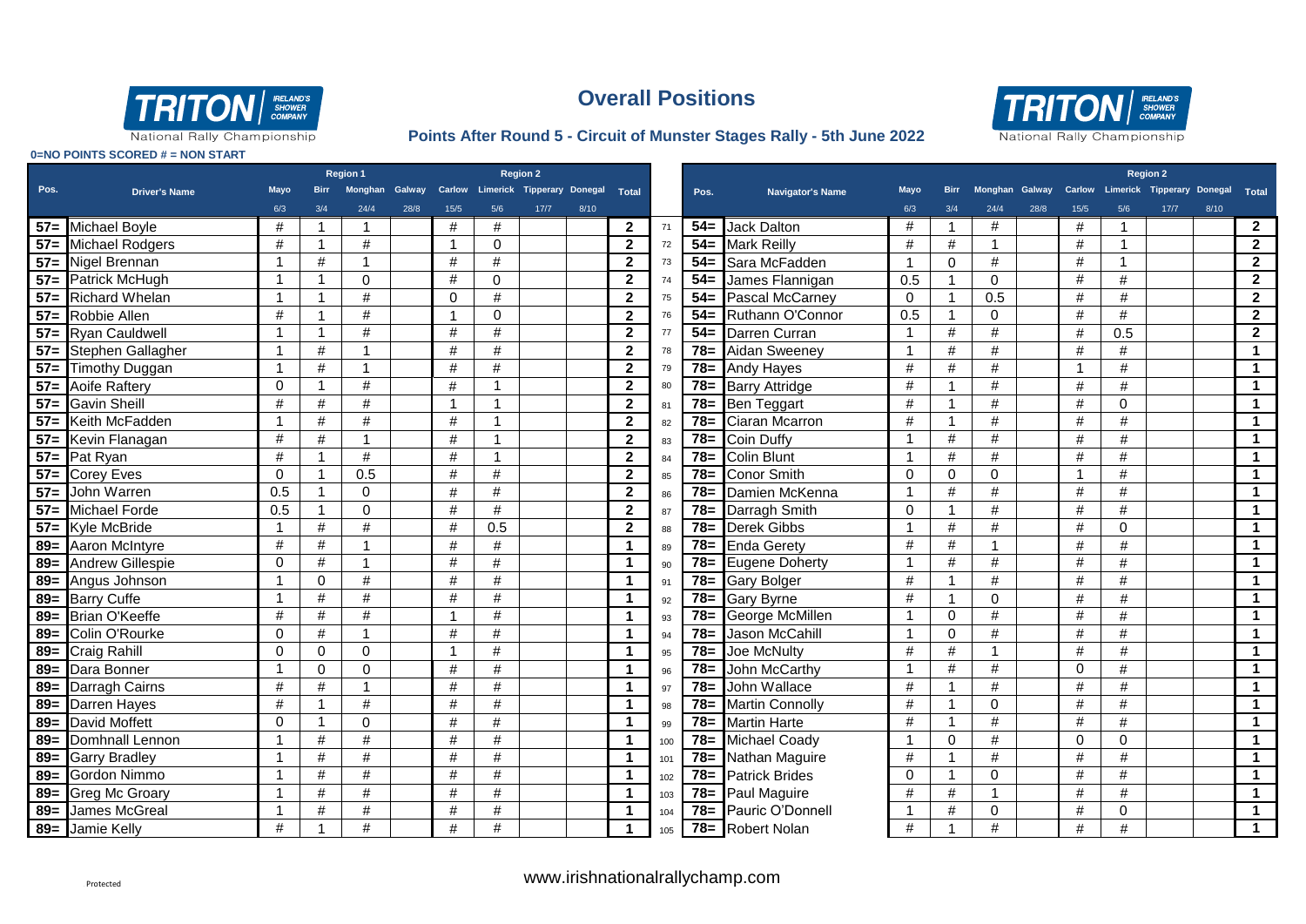



National Rally Championship

### **Points After Round 5 - Circuit of Munster Stages Rally - 5th June 2022**

|  | 0=NO POINTS SCORED # = NON START |  |  |
|--|----------------------------------|--|--|
|  |                                  |  |  |

|        |                        | <b>Region 1</b> |             |                |      | <b>Region 2</b>          |                                                        |      |      |                      |     |        |                         |          |                 |             |      |          | <b>Region 2</b>                                  |        |      |                         |
|--------|------------------------|-----------------|-------------|----------------|------|--------------------------|--------------------------------------------------------|------|------|----------------------|-----|--------|-------------------------|----------|-----------------|-------------|------|----------|--------------------------------------------------|--------|------|-------------------------|
| Pos.   | <b>Driver's Name</b>   | Mayo            | <b>Birr</b> |                |      |                          | Monghan Galway Carlow Limerick Tipperary Donegal Total |      |      |                      |     | Pos.   | <b>Navigator's Name</b> | Mayo     | <b>Birr</b>     |             |      |          | Monghan Galway Carlow Limerick Tipperary Donegal |        |      | Total                   |
|        |                        | 6/3             | 3/4         | 24/4           | 28/8 | 15/5                     | 5/6                                                    | 17/7 | 8/10 |                      |     |        |                         | 6/3      | 3/4             | 24/4        | 28/8 | 15/5     | 5/6                                              | $17/7$ | 8/10 |                         |
|        | 57= Michael Boyle      | #               | -1          | -1             |      | #                        | #                                                      |      |      | $\mathbf{2}$         | 71  | $54 =$ | <b>Jack Dalton</b>      | #        | -1              | #           |      | #        | -1                                               |        |      | $\overline{2}$          |
| $57=$  | <b>Michael Rodgers</b> | #               | -1          | #              |      | $\overline{1}$           | $\Omega$                                               |      |      | $\mathbf{2}$         | 72  | $54=$  | <b>Mark Reilly</b>      | #        | #               |             |      | #        | $\overline{1}$                                   |        |      | $\overline{2}$          |
|        | 57= Nigel Brennan      | -1              | #           | 1              |      | #                        | #                                                      |      |      | $\mathbf{2}$         | 73  | $54=$  | Sara McFadden           | 1        | $\Omega$        | #           |      | #        | -1                                               |        |      | $\overline{2}$          |
| $57 =$ | Patrick McHugh         | $\overline{1}$  |             | $\Omega$       |      | #                        | $\mathbf 0$                                            |      |      | $\mathbf{2}$         | 74  | $54=$  | James Flannigan         | 0.5      | $\overline{1}$  | $\Omega$    |      | #        | #                                                |        |      | $\overline{2}$          |
| $57 =$ | <b>Richard Whelan</b>  | -1              |             | #              |      | $\Omega$                 | $\#$                                                   |      |      | $\mathbf{2}$         | 75  | $54=$  | Pascal McCarney         | $\Omega$ | 1               | 0.5         |      | #        | $\#$                                             |        |      | $\overline{2}$          |
| $57=$  | Robbie Allen           | #               |             | #              |      | -1                       | $\mathbf 0$                                            |      |      | $\mathbf{2}$         | 76  | $54=$  | Ruthann O'Connor        | 0.5      | $\mathbf{1}$    | $\Omega$    |      | #        | #                                                |        |      | $\overline{2}$          |
| $57=$  | <b>Ryan Cauldwell</b>  | -1              |             | #              |      | #                        | $\#$                                                   |      |      | $\mathbf{2}$         | 77  | $54=$  | Darren Curran           | 1        | #               | #           |      | #        | 0.5                                              |        |      | $\overline{2}$          |
| $57=$  | Stephen Gallagher      | -1              | #           | 1              |      | #                        | #                                                      |      |      | $\overline{2}$       | 78  | $78 =$ | <b>Aidan Sweeney</b>    | 1        | #               | #           |      | #        | #                                                |        |      | -1                      |
| $57 =$ | <b>Timothy Duggan</b>  | -1              | #           | $\overline{1}$ |      | #                        | $\#$                                                   |      |      | $\overline{2}$       | 79  | $78 =$ | <b>Andy Hayes</b>       | #        | #               | #           |      |          | $\#$                                             |        |      | $\overline{\mathbf{1}}$ |
| $57 =$ | Aoife Raftery          | $\mathbf 0$     |             | #              |      | #                        |                                                        |      |      | $\mathbf{2}$         | 80  | $78 =$ | <b>Barry Attridge</b>   | #        | 1               | $\#$        |      | $\#$     | $\#$                                             |        |      |                         |
|        | 57= Gavin Sheill       | #               | $\#$        | $\#$           |      | $\overline{\phantom{a}}$ |                                                        |      |      | $\mathbf{2}$         | 81  | $78 =$ | <b>Ben Teggart</b>      | #        | $\overline{1}$  | #           |      | #        | $\mathbf 0$                                      |        |      | -1                      |
| $57 =$ | Keith McFadden         | -1              | $\#$        | $\#$           |      | $\#$                     |                                                        |      |      | $\overline{2}$       | 82  | $78 =$ | Ciaran Mcarron          | #        | $\overline{1}$  | #           |      | $\#$     | $\#$                                             |        |      | -1                      |
| $57-$  | Kevin Flanagan         | #               | #           | $\overline{1}$ |      | #                        |                                                        |      |      | $\mathbf{2}$         | 83  | $78=$  | Coin Duffy              | 1        | #               | #           |      | #        | #                                                |        |      | -1                      |
| $57 =$ | Pat Ryan               | #               | -1          | #              |      | #                        | $\blacktriangleleft$                                   |      |      | $\overline{2}$       | 84  | $78=$  | <b>Colin Blunt</b>      | 1        | #               | #           |      | #        | #                                                |        |      | -1                      |
| $57-$  | <b>Corey Eves</b>      | $\Omega$        | -1          | 0.5            |      | #                        | #                                                      |      |      | $\mathbf{2}$         | 85  | $78 =$ | <b>Conor Smith</b>      | $\Omega$ | $\mathbf 0$     | $\Omega$    |      | -1       | #                                                |        |      | -1                      |
| $57=$  | John Warren            | 0.5             | -1          | $\mathbf 0$    |      | #                        | #                                                      |      |      | $\mathbf{2}$         | 86  | $78=$  | Damien McKenna          | 1        | #               | #           |      | #        | #                                                |        |      | -1                      |
|        | 57= Michael Forde      | 0.5             | -1          | $\pmb{0}$      |      | $\#$                     | $\#$                                                   |      |      | $\mathbf{2}$         | 87  | $78 =$ | Darragh Smith           | $\Omega$ | $\overline{1}$  | #           |      | $\#$     | #                                                |        |      | -1                      |
|        | 57= Kyle McBride       | $\mathbf{1}$    | $\#$        | $\#$           |      | $\#$                     | 0.5                                                    |      |      | $\overline{2}$       | 88  | $78=$  | Derek Gibbs             |          | $\#$            | $\#$        |      | $\#$     | $\Omega$                                         |        |      | $\overline{\mathbf{1}}$ |
|        | 89 = Aaron McIntyre    | #               | #           | $\overline{1}$ |      | #                        | $\#$                                                   |      |      | $\blacktriangleleft$ | 89  | $78=$  | <b>Enda Gerety</b>      | #        | #               |             |      | #        | $\#$                                             |        |      | -1                      |
|        | 89= Andrew Gillespie   | $\Omega$        | $\#$        | $\overline{1}$ |      | #                        | #                                                      |      |      | $\mathbf{1}$         | 90  | $78=$  | <b>Eugene Doherty</b>   |          | $\overline{\#}$ | #           |      | #        | #                                                |        |      | $\overline{\mathbf{1}}$ |
|        | 89= Angus Johnson      |                 | $\Omega$    | $\#$           |      | #                        | $\#$                                                   |      |      | $\mathbf{1}$         | 91  | $78 =$ | <b>Gary Bolger</b>      | #        | 1               | #           |      | #        | $\#$                                             |        |      | -1                      |
|        | 89= Barry Cuffe        | $\overline{1}$  | #           | $\#$           |      | #                        | $\#$                                                   |      |      | $\blacktriangleleft$ | 92  | $78=$  | <b>Gary Byrne</b>       | #        | $\overline{1}$  | $\Omega$    |      | #        | #                                                |        |      | -1                      |
|        | 89= Brian O'Keeffe     | #               | #           | #              |      | -1                       | $\#$                                                   |      |      | $\blacktriangleleft$ | 93  | $78 =$ | George McMillen         |          | $\Omega$        | #           |      | #        | $\#$                                             |        |      | $\overline{\mathbf{1}}$ |
|        | 89= Colin O'Rourke     | $\Omega$        | #           | $\mathbf{1}$   |      | $\#$                     | $\#$                                                   |      |      | $\mathbf 1$          | 94  | $78=$  | Jason McCahill          |          | $\Omega$        | #           |      | #        | $\#$                                             |        |      | -1                      |
|        | 89= Craig Rahill       | $\mathbf 0$     | $\mathbf 0$ | $\Omega$       |      | - 1                      | #                                                      |      |      | $\mathbf 1$          | 95  | $78=$  | Joe McNulty             | #        | #               |             |      | #        | #                                                |        |      | $\mathbf{1}$            |
|        | 89= Dara Bonner        | -1              | $\Omega$    | $\Omega$       |      | #                        | $\#$                                                   |      |      | -1                   | 96  | $78=$  | John McCarthy           |          | $\#$            | #           |      | $\Omega$ | $\#$                                             |        |      | -1                      |
|        | 89 = Darragh Cairns    | #               | #           | $\overline{1}$ |      | #                        | $\#$                                                   |      |      | -1                   | 97  | $78 =$ | John Wallace            | #        | $\overline{1}$  | #           |      | $\#$     | $\#$                                             |        |      | -1                      |
|        | 89= Darren Hayes       | #               |             | #              |      | #                        | $\#$                                                   |      |      | $\mathbf{1}$         | 98  | $78 =$ | <b>Martin Connolly</b>  | #        | $\mathbf{1}$    | $\Omega$    |      | #        | $\#$                                             |        |      | $\overline{\mathbf{1}}$ |
|        | 89= David Moffett      | $\Omega$        | -1          | $\Omega$       |      | #                        | #                                                      |      |      | $\blacktriangleleft$ | 99  | $78 =$ | <b>Martin Harte</b>     | #        | $\overline{1}$  | #           |      | #        | #                                                |        |      | $\overline{\mathbf{1}}$ |
|        | 89= Domhnall Lennon    | $\overline{1}$  | #           | $\#$           |      | #                        | $\#$                                                   |      |      | $\mathbf{1}$         | 100 | $78 =$ | <b>Michael Coady</b>    | 1        | $\Omega$        | #           |      | $\Omega$ | $\Omega$                                         |        |      | $\overline{\mathbf{1}}$ |
|        | 89= Garry Bradley      | $\overline{1}$  | #           | #              |      | $\#$                     | $\#$                                                   |      |      | $\mathbf 1$          | 101 | $78 =$ | Nathan Maguire          | #        | $\overline{1}$  | #           |      | #        | $\#$                                             |        |      | $\overline{\mathbf{1}}$ |
|        | 89= Gordon Nimmo       | -1              | #           | #              |      | #                        | $\#$                                                   |      |      | $\mathbf{1}$         | 102 | $78 =$ | <b>Patrick Brides</b>   | $\Omega$ | $\overline{1}$  | $\Omega$    |      | #        | #                                                |        |      | $\mathbf 1$             |
|        | 89 = Greg Mc Groary    | -1              | #           | #              |      | #                        | #                                                      |      |      | $\mathbf 1$          | 103 | $78 =$ | Paul Maguire            |          | #               |             |      | #        | #                                                |        |      | $\overline{\mathbf{1}}$ |
| $89 =$ | <b>James McGreal</b>   | -1              | #           | #              |      | #                        | $\#$                                                   |      |      | $\mathbf 1$          | 104 | $78 =$ | Pauric O'Donnell        |          | #               | $\mathbf 0$ |      | #        | $\mathbf 0$                                      |        |      | $\mathbf 1$             |
|        | 89= Jamie Kelly        | #               |             | #              |      | #                        | #                                                      |      |      | $\mathbf 1$          | 105 |        | 78= Robert Nolan        | #        |                 | #           |      | #        | #                                                |        |      |                         |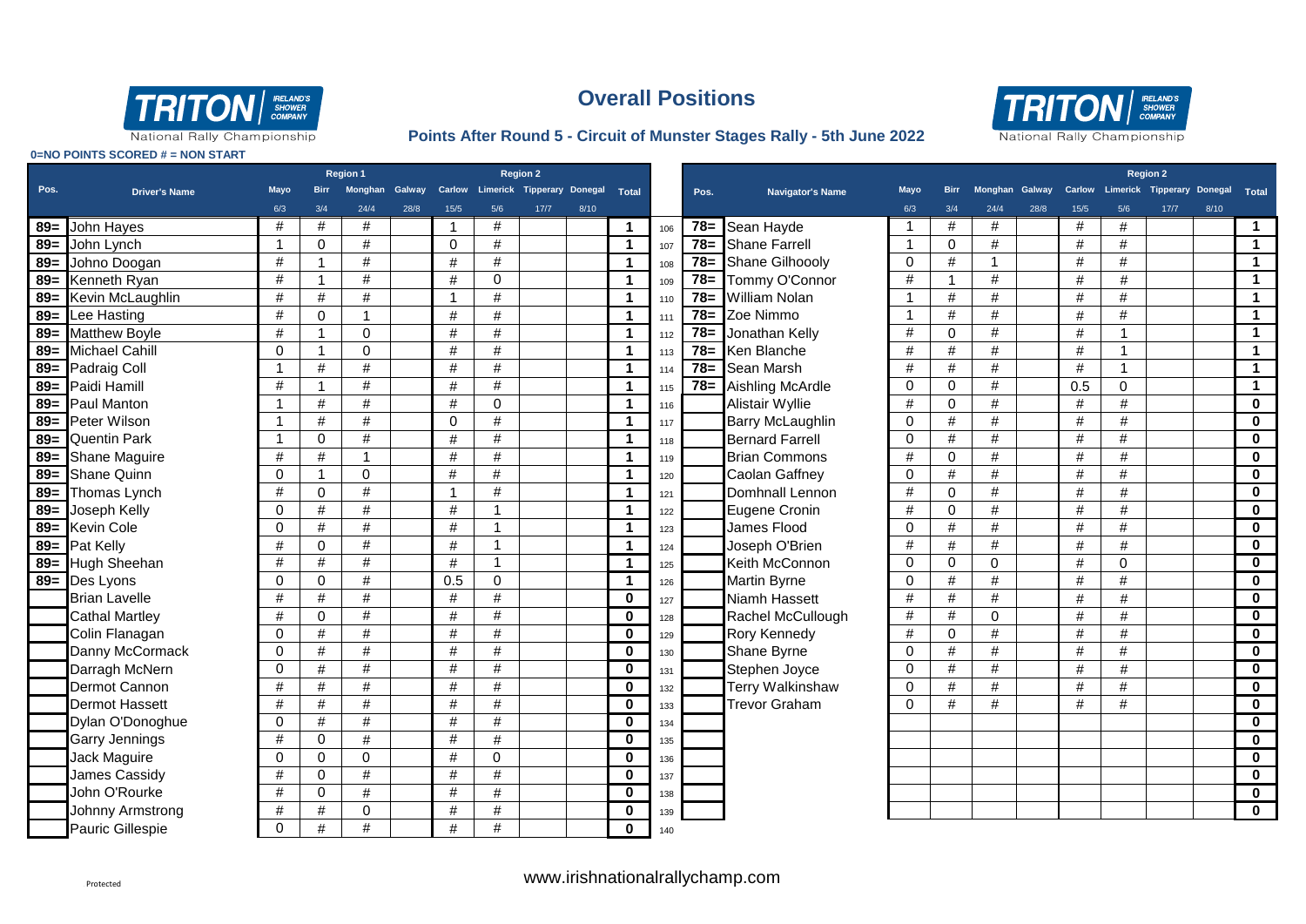

### **Points After Round 5 - Circuit of Munster Stages Rally - 5th June 2022**



|        |                       |                |                | Region 1       |      |                | <b>Region 2</b>                   |      |      |                |     |        |                         |                |              |                |      |               |                                  | <b>Region 2</b> |      |                         |
|--------|-----------------------|----------------|----------------|----------------|------|----------------|-----------------------------------|------|------|----------------|-----|--------|-------------------------|----------------|--------------|----------------|------|---------------|----------------------------------|-----------------|------|-------------------------|
| Pos.   | <b>Driver's Name</b>  | <b>Mayo</b>    | <b>Birr</b>    | Monghan Galway |      |                | Carlow Limerick Tipperary Donegal |      |      | Total          |     | Pos.   | Navigator's Name        | Mayo           | <b>Birr</b>  | Monghan Galway |      | <b>Carlow</b> | Limerick Tipperary Donegal Total |                 |      |                         |
|        |                       | 6/3            | 3/4            | 24/4           | 28/8 | 15/5           | 5/6                               | 17/7 | 8/10 |                |     |        |                         | 6/3            | 3/4          | 24/4           | 28/8 | 15/5          | 5/6                              | 17/7            | 8/10 |                         |
| $89 =$ | John Hayes            | #              | #              | #              |      | $\overline{1}$ | #                                 |      |      | $\mathbf 1$    | 106 | $78 =$ | Sean Hayde              |                | #            | #              |      | #             | $\#$                             |                 |      | $\blacktriangleleft$    |
| $89 =$ | John Lynch            | $\overline{1}$ | $\Omega$       | #              |      | $\Omega$       | #                                 |      |      | $\mathbf{1}$   | 107 | $78 =$ | <b>Shane Farrell</b>    | $\overline{1}$ | $\mathbf{0}$ | #              |      | #             | #                                |                 |      | $\blacktriangleleft$    |
| $89 =$ | Johno Doogan          | #              | -1             | #              |      | #              | $\#$                              |      |      | $\mathbf{1}$   | 108 | $78 =$ | Shane Gilhoooly         | 0              | #            | $\overline{1}$ |      | #             | $\#$                             |                 |      | $\blacktriangleleft$    |
|        | 89= Kenneth Ryan      | #              | -1             | $\#$           |      | #              | $\mathbf 0$                       |      |      | $\mathbf{1}$   | 109 | $78 =$ | Tommy O'Connor          | #              | -1           | #              |      | $\#$          | $\#$                             |                 |      | $\blacktriangleleft$    |
|        | 89 = Kevin McLaughlin | #              | $\#$           | $\#$           |      | $\overline{1}$ | $\#$                              |      |      | $\mathbf{1}$   | 110 | $78 =$ | <b>William Nolan</b>    |                | $\#$         | $\#$           |      | $\#$          | $\#$                             |                 |      | $\mathbf 1$             |
|        | 89= Lee Hasting       | #              | $\mathbf 0$    | $\overline{1}$ |      | $\#$           | $\#$                              |      |      | $\mathbf{1}$   | 111 | $78 =$ | Zoe Nimmo               | $\overline{1}$ | #            | #              |      | $\#$          | $\#$                             |                 |      | $\blacktriangleleft$    |
|        | 89= Matthew Boyle     | #              | $\overline{1}$ | $\Omega$       |      | #              | $\#$                              |      |      | $\mathbf{1}$   | 112 | $78 =$ | Jonathan Kelly          | #              | $\mathbf 0$  | $\#$           |      | $\#$          | $\overline{\mathbf{1}}$          |                 |      | $\blacktriangleleft$    |
|        | 89= Michael Cahill    | $\Omega$       |                | $\Omega$       |      | $\#$           | $\#$                              |      |      | $\mathbf{1}$   | 113 | $78 =$ | Ken Blanche             | $\#$           | $\#$         | #              |      | $\#$          | $\overline{ }$                   |                 |      | $\mathbf{1}$            |
|        | 89= Padraig Coll      | $\overline{1}$ | $\#$           | #              |      | $\#$           | $\#$                              |      |      | $\mathbf{1}$   | 114 | $78=$  | <b>Sean Marsh</b>       | $\#$           | $\#$         | $\#$           |      | $\#$          | $\overline{1}$                   |                 |      | $\mathbf{1}$            |
|        | 89= Paidi Hamill      | #              | -1             | #              |      | $\#$           | $\#$                              |      |      | $\mathbf{1}$   | 115 | $78 =$ | Aishling McArdle        | $\mathbf 0$    | $\mathbf 0$  | $\#$           |      | 0.5           | $\mathbf 0$                      |                 |      | $\mathbf{1}$            |
|        | 89= Paul Manton       | -1             | $\#$           | #              |      | $\#$           | $\mathbf 0$                       |      |      | $\mathbf{1}$   | 116 |        | Alistair Wyllie         | $\#$           | $\mathbf 0$  | $\#$           |      | $\#$          | $\#$                             |                 |      | $\mathbf 0$             |
|        | 89= Peter Wilson      | $\overline{1}$ | $\#$           | #              |      | $\Omega$       | $\#$                              |      |      | $\mathbf{1}$   | 117 |        | <b>Barry McLaughlin</b> | $\mathbf 0$    | $\#$         | #              |      | $\#$          | #                                |                 |      | $\mathbf 0$             |
|        | 89= Quentin Park      | $\overline{1}$ | $\Omega$       | $\#$           |      | $\#$           | $\#$                              |      |      | $\mathbf{1}$   | 118 |        | <b>Bernard Farrell</b>  | $\Omega$       | $\#$         | #              |      | $\#$          | $\#$                             |                 |      | $\mathbf 0$             |
|        | 89 = Shane Maguire    | #              | #              | $\mathbf 1$    |      | $\#$           | $\#$                              |      |      | $\mathbf{1}$   | 119 |        | <b>Brian Commons</b>    | $\#$           | $\mathbf{0}$ | #              |      | $\#$          | $\#$                             |                 |      | $\mathbf 0$             |
|        | 89= Shane Quinn       | $\Omega$       | -1             | $\Omega$       |      | #              | $\#$                              |      |      | $\mathbf{1}$   | 120 |        | Caolan Gaffney          | $\Omega$       | $\#$         | $\#$           |      | $\#$          | $\#$                             |                 |      | $\mathbf 0$             |
| $89 =$ | Thomas Lynch          | #              | $\Omega$       | #              |      | $\overline{1}$ | #                                 |      |      | $\mathbf{1}$   | 121 |        | Domhnall Lennon         | $\#$           | $\mathbf{0}$ | #              |      | #             | #                                |                 |      | $\mathbf 0$             |
| $89 =$ | Joseph Kelly          | $\Omega$       | #              | #              |      | #              | $\overline{1}$                    |      |      | $\mathbf{1}$   | 122 |        | Eugene Cronin           | #              | $\mathbf{0}$ | #              |      | #             | #                                |                 |      | $\mathbf 0$             |
| $89 =$ | <b>Kevin Cole</b>     | $\Omega$       | #              | #              |      | #              | $\overline{1}$                    |      |      | $\mathbf{1}$   | 123 |        | James Flood             | $\mathbf 0$    | #            | #              |      | #             | #                                |                 |      | $\mathbf 0$             |
| $89 =$ | Pat Kelly             | #              | 0              | #              |      | #              | $\mathbf{1}$                      |      |      | $\mathbf{1}$   | 124 |        | Joseph O'Brien          | #              | #            | #              |      | #             | #                                |                 |      | $\mathbf 0$             |
|        | 89= Hugh Sheehan      | #              | $\#$           | #              |      | $\#$           | $\overline{1}$                    |      |      | $\overline{1}$ | 125 |        | Keith McConnon          | $\mathbf 0$    | $\mathbf 0$  | $\mathbf 0$    |      | $\#$          | $\mathbf 0$                      |                 |      | $\mathbf 0$             |
|        | 89= Des Lyons         | $\mathbf 0$    | $\mathbf 0$    | $\#$           |      | 0.5            | $\mathbf 0$                       |      |      | $\mathbf{1}$   | 126 |        | <b>Martin Byrne</b>     | $\mathbf 0$    | $\#$         | $\#$           |      | $\#$          | $\#$                             |                 |      | $\mathbf 0$             |
|        | <b>Brian Lavelle</b>  | $\#$           | $\#$           | #              |      | $\#$           | $\frac{1}{2}$                     |      |      | $\mathbf 0$    | 127 |        | Niamh Hassett           | $\#$           | $\#$         | $\#$           |      | $\#$          | $\#$                             |                 |      | $\overline{\mathbf{0}}$ |
|        | <b>Cathal Martley</b> | #              | $\Omega$       | #              |      | $\#$           | $\frac{1}{2}$                     |      |      | $\mathbf 0$    | 128 |        | Rachel McCullough       | $\#$           | $\#$         | $\Omega$       |      | #             | $\#$                             |                 |      | $\mathbf 0$             |
|        | Colin Flanagan        | $\mathbf 0$    | $\#$           | #              |      | $\#$           | $\frac{1}{2}$                     |      |      | $\mathbf 0$    | 129 |        | Rory Kennedy            | #              | $\mathbf 0$  | $\#$           |      | #             | #                                |                 |      | $\overline{\mathbf{0}}$ |
|        | Danny McCormack       | 0              | $\#$           | #              |      | #              | #                                 |      |      | $\mathbf 0$    | 130 |        | <b>Shane Byrne</b>      | $\mathbf 0$    | $\#$         | #              |      | #             | $\#$                             |                 |      | $\mathbf 0$             |
|        | Darragh McNern        | $\Omega$       | #              | #              |      | #              | $\#$                              |      |      | $\mathbf 0$    | 131 |        | Stephen Joyce           | $\Omega$       | #            | #              |      | #             | #                                |                 |      | $\mathbf 0$             |
|        | Dermot Cannon         | #              | #              | #              |      | #              | $\#$                              |      |      | $\mathbf 0$    | 132 |        | Terry Walkinshaw        | $\Omega$       | #            | $\#$           |      | #             | $\#$                             |                 |      | $\mathbf 0$             |
|        | <b>Dermot Hassett</b> | #              | #              | #              |      | #              | #                                 |      |      | $\mathbf 0$    | 133 |        | <b>Trevor Graham</b>    | $\Omega$       | $\#$         | #              |      | $\#$          | #                                |                 |      | $\mathbf 0$             |
|        | Dylan O'Donoghue      | $\Omega$       | $\#$           | #              |      | #              | $\#$                              |      |      | $\mathbf 0$    | 134 |        |                         |                |              |                |      |               |                                  |                 |      | $\mathbf 0$             |
|        | <b>Garry Jennings</b> | #              | $\Omega$       | #              |      | #              | $\#$                              |      |      | $\mathbf 0$    | 135 |        |                         |                |              |                |      |               |                                  |                 |      | $\mathbf 0$             |
|        | Jack Maguire          | $\Omega$       | $\Omega$       | $\Omega$       |      | #              | $\Omega$                          |      |      | $\mathbf 0$    | 136 |        |                         |                |              |                |      |               |                                  |                 |      | $\mathbf 0$             |
|        | James Cassidy         | #              | $\Omega$       | #              |      | #              | $\#$                              |      |      | $\mathbf 0$    | 137 |        |                         |                |              |                |      |               |                                  |                 |      | $\mathbf 0$             |
|        | John O'Rourke         | #              | 0              | #              |      | #              | #                                 |      |      | $\mathbf 0$    | 138 |        |                         |                |              |                |      |               |                                  |                 |      | $\mathbf 0$             |
|        | Johnny Armstrong      | #              | #              | $\mathbf 0$    |      | #              | $\#$                              |      |      | $\mathbf 0$    | 139 |        |                         |                |              |                |      |               |                                  |                 |      | $\mathbf 0$             |
|        | Pauric Gillespie      | $\Omega$       | #              | $\#$           |      | #              | #                                 |      |      | $\mathbf 0$    | 140 |        |                         |                |              |                |      |               |                                  |                 |      |                         |